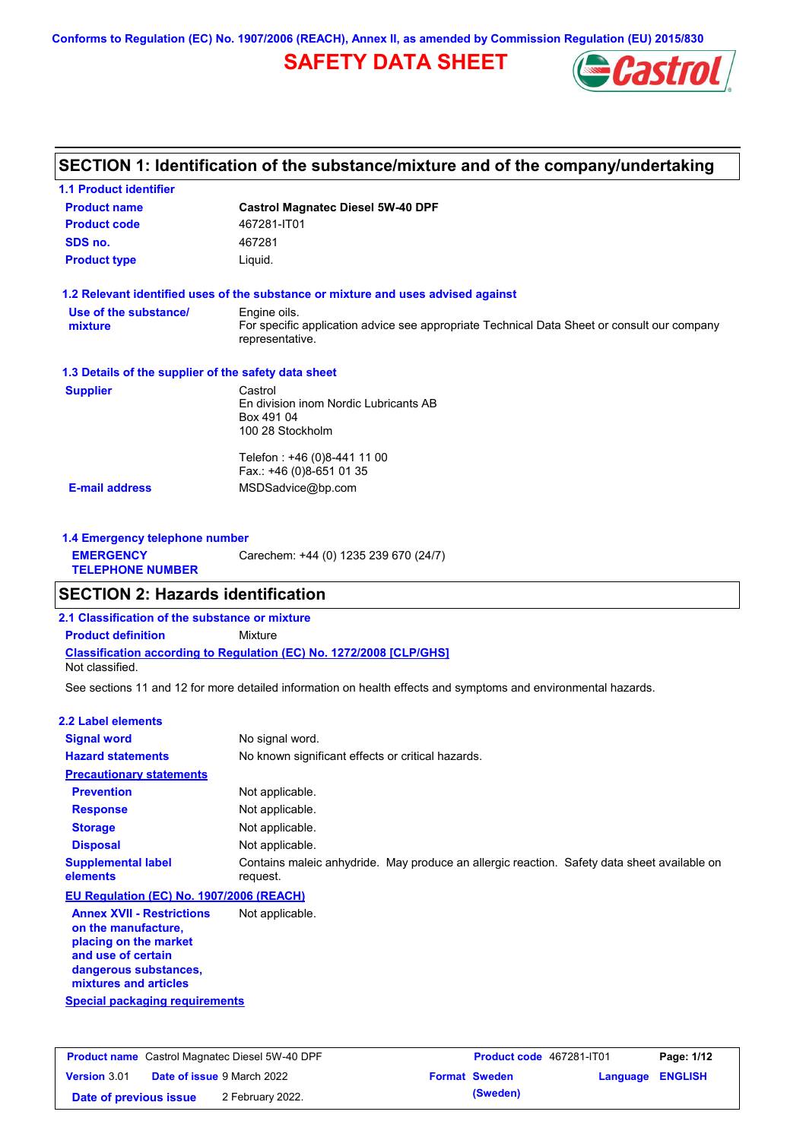**Conforms to Regulation (EC) No. 1907/2006 (REACH), Annex II, as amended by Commission Regulation (EU) 2015/830**

## **SAFETY DATA SHEET**



# **SECTION 1: Identification of the substance/mixture and of the company/undertaking**

| <b>1.1 Product identifier</b>                        |                                                                                                                                |
|------------------------------------------------------|--------------------------------------------------------------------------------------------------------------------------------|
| <b>Product name</b>                                  | <b>Castrol Magnatec Diesel 5W-40 DPF</b>                                                                                       |
| <b>Product code</b>                                  | 467281-IT01                                                                                                                    |
| SDS no.                                              | 467281                                                                                                                         |
| <b>Product type</b>                                  | Liquid.                                                                                                                        |
|                                                      | 1.2 Relevant identified uses of the substance or mixture and uses advised against                                              |
| Use of the substance/<br>mixture                     | Engine oils.<br>For specific application advice see appropriate Technical Data Sheet or consult our company<br>representative. |
| 1.3 Details of the supplier of the safety data sheet |                                                                                                                                |
| <b>Supplier</b>                                      | Castrol<br>En division inom Nordic Lubricants AB<br>Box 491 04<br>100 28 Stockholm                                             |
|                                                      | Telefon: +46 (0)8-441 11 00<br>Fax.: +46 (0)8-651 01 35                                                                        |
| <b>E-mail address</b>                                | MSDSadvice@bp.com                                                                                                              |
| 1.4 Emergency telephone number                       |                                                                                                                                |
| <b>EMERGENCY</b><br><b>TELEPHONE NUMBER</b>          | Carechem: +44 (0) 1235 239 670 (24/7)                                                                                          |
| <b>SECTION 2: Hazards identification</b>             |                                                                                                                                |
| 2.1 Classification of the substance or mixture       |                                                                                                                                |
| <b>Product definition</b>                            | Mixture                                                                                                                        |
| Not classified.                                      | <b>Classification according to Regulation (EC) No. 1272/2008 [CLP/GHS]</b>                                                     |
|                                                      | See sections 11 and 12 for more detailed information on health effects and symptoms and environmental hazards.                 |

#### **2.2 Label elements**

| <b>Signal word</b>                                                                                     | No signal word.                                                                                         |
|--------------------------------------------------------------------------------------------------------|---------------------------------------------------------------------------------------------------------|
| <b>Hazard statements</b>                                                                               | No known significant effects or critical hazards.                                                       |
| <b>Precautionary statements</b>                                                                        |                                                                                                         |
| <b>Prevention</b>                                                                                      | Not applicable.                                                                                         |
| <b>Response</b>                                                                                        | Not applicable.                                                                                         |
| <b>Storage</b>                                                                                         | Not applicable.                                                                                         |
| <b>Disposal</b>                                                                                        | Not applicable.                                                                                         |
| <b>Supplemental label</b><br>elements                                                                  | Contains maleic anhydride. May produce an allergic reaction. Safety data sheet available on<br>request. |
| EU Regulation (EC) No. 1907/2006 (REACH)                                                               |                                                                                                         |
| <b>Annex XVII - Restrictions</b><br>on the manufacture,<br>placing on the market<br>and use of certain | Not applicable.                                                                                         |

**Special packaging requirements dangerous substances, mixtures and articles**

|                        | <b>Product name</b> Castrol Magnatec Diesel 5W-40 DPF |                      | <b>Product code</b> 467281-IT01 | Page: 1/12              |
|------------------------|-------------------------------------------------------|----------------------|---------------------------------|-------------------------|
| <b>Version 3.01</b>    | <b>Date of issue 9 March 2022</b>                     | <b>Format Sweden</b> |                                 | <b>Language ENGLISH</b> |
| Date of previous issue | 2 February 2022.                                      | (Sweden)             |                                 |                         |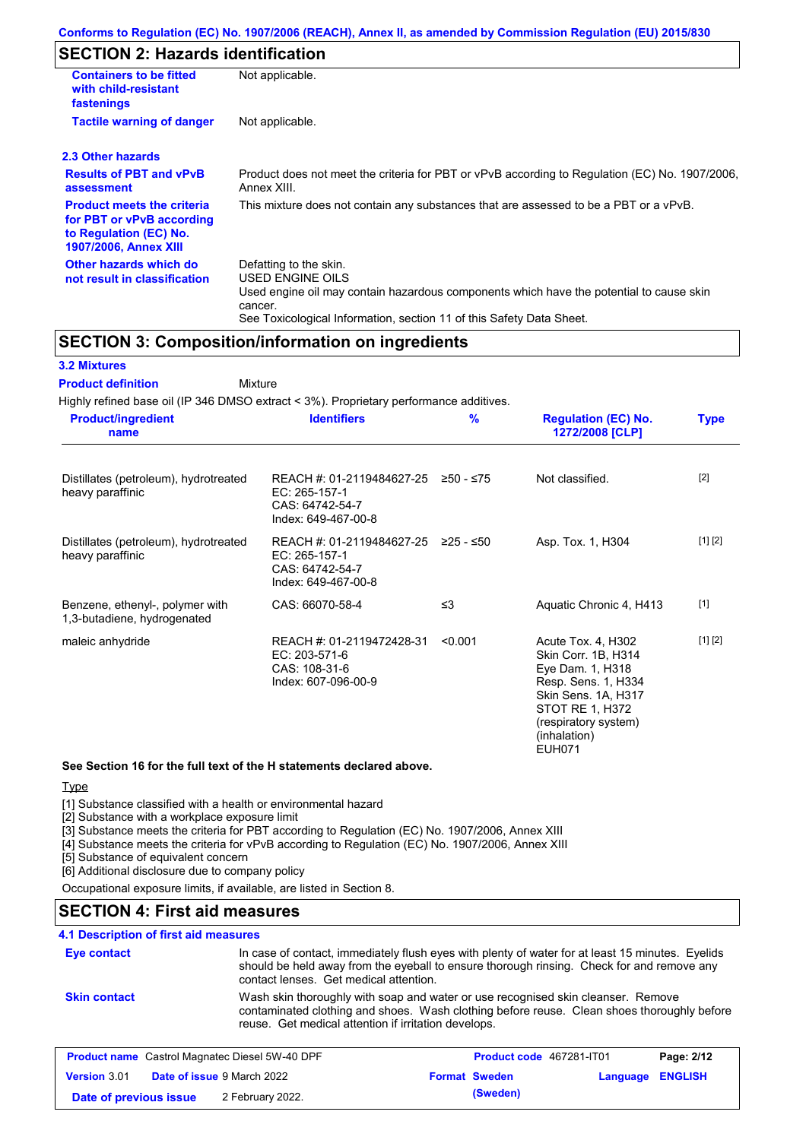# **SECTION 2: Hazards identification**

| <b>Containers to be fitted</b><br>with child-resistant<br>fastenings                                                     | Not applicable.                                                                                                                                                                                                          |
|--------------------------------------------------------------------------------------------------------------------------|--------------------------------------------------------------------------------------------------------------------------------------------------------------------------------------------------------------------------|
| <b>Tactile warning of danger</b>                                                                                         | Not applicable.                                                                                                                                                                                                          |
| 2.3 Other hazards                                                                                                        |                                                                                                                                                                                                                          |
| <b>Results of PBT and vPvB</b><br>assessment                                                                             | Product does not meet the criteria for PBT or vPvB according to Regulation (EC) No. 1907/2006,<br>Annex XIII.                                                                                                            |
| <b>Product meets the criteria</b><br>for PBT or vPvB according<br>to Regulation (EC) No.<br><b>1907/2006, Annex XIII</b> | This mixture does not contain any substances that are assessed to be a PBT or a vPvB.                                                                                                                                    |
| Other hazards which do<br>not result in classification                                                                   | Defatting to the skin.<br>USED ENGINE OILS<br>Used engine oil may contain hazardous components which have the potential to cause skin<br>cancer.<br>See Toxicological Information, section 11 of this Safety Data Sheet. |

### **SECTION 3: Composition/information on ingredients**

#### **3.2 Mixtures**

Mixture **Product definition**

Highly refined base oil (IP 346 DMSO extract < 3%). Proprietary performance additives.

| <b>Product/ingredient</b><br>name                              | <b>Identifiers</b>                                                                   | $\frac{9}{6}$ | <b>Regulation (EC) No.</b><br>1272/2008 [CLP]                                                                                                                                           | <b>Type</b> |
|----------------------------------------------------------------|--------------------------------------------------------------------------------------|---------------|-----------------------------------------------------------------------------------------------------------------------------------------------------------------------------------------|-------------|
| Distillates (petroleum), hydrotreated<br>heavy paraffinic      | REACH #: 01-2119484627-25<br>EC: 265-157-1<br>CAS: 64742-54-7<br>Index: 649-467-00-8 | $≥50 - ≤75$   | Not classified.                                                                                                                                                                         | $[2]$       |
| Distillates (petroleum), hydrotreated<br>heavy paraffinic      | REACH #: 01-2119484627-25<br>EC: 265-157-1<br>CAS: 64742-54-7<br>Index: 649-467-00-8 | 225 - ≤50     | Asp. Tox. 1, H304                                                                                                                                                                       | [1] [2]     |
| Benzene, ethenyl-, polymer with<br>1,3-butadiene, hydrogenated | CAS: 66070-58-4                                                                      | $\leq$ 3      | Aquatic Chronic 4, H413                                                                                                                                                                 | $[1]$       |
| maleic anhydride                                               | REACH #: 01-2119472428-31<br>EC: 203-571-6<br>CAS: 108-31-6<br>Index: 607-096-00-9   | < 0.001       | Acute Tox. 4, H302<br>Skin Corr. 1B, H314<br>Eye Dam. 1, H318<br>Resp. Sens. 1, H334<br>Skin Sens. 1A, H317<br>STOT RE 1, H372<br>(respiratory system)<br>(inhalation)<br><b>EUH071</b> | [1] [2]     |

**See Section 16 for the full text of the H statements declared above.**

#### **Type**

[1] Substance classified with a health or environmental hazard

[2] Substance with a workplace exposure limit

[3] Substance meets the criteria for PBT according to Regulation (EC) No. 1907/2006, Annex XIII

[4] Substance meets the criteria for vPvB according to Regulation (EC) No. 1907/2006, Annex XIII

[5] Substance of equivalent concern

[6] Additional disclosure due to company policy

Occupational exposure limits, if available, are listed in Section 8.

### **SECTION 4: First aid measures**

### **4.1 Description of first aid measures**

| <b>Eye contact</b>  | contact lenses. Get medical attention.                | In case of contact, immediately flush eyes with plenty of water for at least 15 minutes. Eyelids<br>should be held away from the eyeball to ensure thorough rinsing. Check for and remove any |            |
|---------------------|-------------------------------------------------------|-----------------------------------------------------------------------------------------------------------------------------------------------------------------------------------------------|------------|
| <b>Skin contact</b> | reuse. Get medical attention if irritation develops.  | Wash skin thoroughly with soap and water or use recognised skin cleanser. Remove<br>contaminated clothing and shoes. Wash clothing before reuse. Clean shoes thoroughly before                |            |
|                     | <b>Product name</b> Castrol Magnatec Diesel 5W-40 DPF | Product code 467281-IT01                                                                                                                                                                      | Page: 2/12 |

| <b>Version</b> 3.01    | <b>Date of issue</b> 9 March 2022 | <b>Format Sweden</b> | Language ENGLISH |  |
|------------------------|-----------------------------------|----------------------|------------------|--|
| Date of previous issue | 2 February 2022.                  | (Sweden)             |                  |  |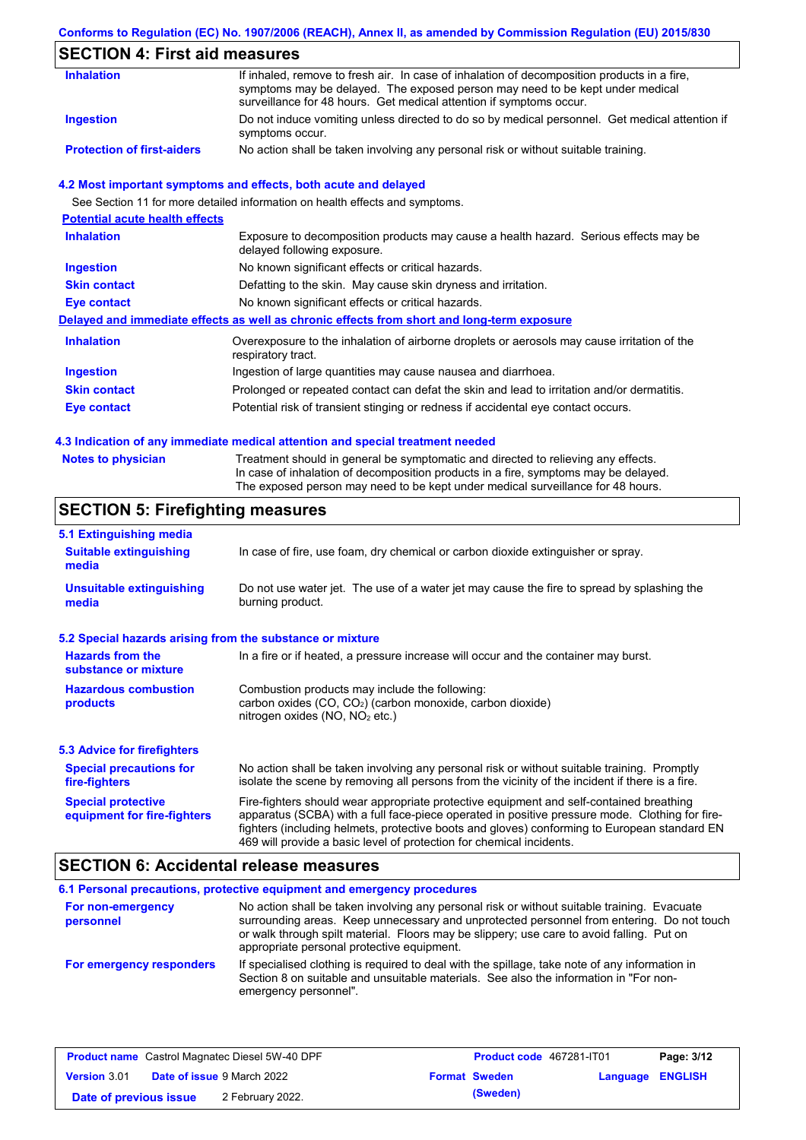### **Conforms to Regulation (EC) No. 1907/2006 (REACH), Annex II, as amended by Commission Regulation (EU) 2015/830**

## **SECTION 4: First aid measures**

| <b>Inhalation</b>                 | If inhaled, remove to fresh air. In case of inhalation of decomposition products in a fire,<br>symptoms may be delayed. The exposed person may need to be kept under medical<br>surveillance for 48 hours. Get medical attention if symptoms occur. |
|-----------------------------------|-----------------------------------------------------------------------------------------------------------------------------------------------------------------------------------------------------------------------------------------------------|
| Ingestion                         | Do not induce vomiting unless directed to do so by medical personnel. Get medical attention if<br>symptoms occur.                                                                                                                                   |
| <b>Protection of first-aiders</b> | No action shall be taken involving any personal risk or without suitable training.                                                                                                                                                                  |

#### **4.2 Most important symptoms and effects, both acute and delayed**

See Section 11 for more detailed information on health effects and symptoms.

| <b>Potential acute health effects</b> |                                                                                                                     |
|---------------------------------------|---------------------------------------------------------------------------------------------------------------------|
| <b>Inhalation</b>                     | Exposure to decomposition products may cause a health hazard. Serious effects may be<br>delayed following exposure. |
| <b>Ingestion</b>                      | No known significant effects or critical hazards.                                                                   |
| <b>Skin contact</b>                   | Defatting to the skin. May cause skin dryness and irritation.                                                       |
| Eye contact                           | No known significant effects or critical hazards.                                                                   |
|                                       | Delayed and immediate effects as well as chronic effects from short and long-term exposure                          |
| <b>Inhalation</b>                     | Overexposure to the inhalation of airborne droplets or aerosols may cause irritation of the<br>respiratory tract.   |
| <b>Ingestion</b>                      | Ingestion of large quantities may cause nausea and diarrhoea.                                                       |
| <b>Skin contact</b>                   | Prolonged or repeated contact can defat the skin and lead to irritation and/or dermatitis.                          |
| Eye contact                           | Potential risk of transient stinging or redness if accidental eye contact occurs.                                   |
|                                       |                                                                                                                     |

#### **4.3 Indication of any immediate medical attention and special treatment needed**

| <b>Notes to physician</b> | Treatment should in general be symptomatic and directed to relieving any effects.   |
|---------------------------|-------------------------------------------------------------------------------------|
|                           | In case of inhalation of decomposition products in a fire, symptoms may be delayed. |
|                           | The exposed person may need to be kept under medical surveillance for 48 hours.     |

## **SECTION 5: Firefighting measures**

| 5.1 Extinguishing media                                   |                                                                                                                                                                                                                                                                                                                                                                   |
|-----------------------------------------------------------|-------------------------------------------------------------------------------------------------------------------------------------------------------------------------------------------------------------------------------------------------------------------------------------------------------------------------------------------------------------------|
| <b>Suitable extinguishing</b><br>media                    | In case of fire, use foam, dry chemical or carbon dioxide extinguisher or spray.                                                                                                                                                                                                                                                                                  |
| <b>Unsuitable extinguishing</b><br>media                  | Do not use water jet. The use of a water jet may cause the fire to spread by splashing the<br>burning product.                                                                                                                                                                                                                                                    |
| 5.2 Special hazards arising from the substance or mixture |                                                                                                                                                                                                                                                                                                                                                                   |
| <b>Hazards from the</b><br>substance or mixture           | In a fire or if heated, a pressure increase will occur and the container may burst.                                                                                                                                                                                                                                                                               |
| <b>Hazardous combustion</b><br>products                   | Combustion products may include the following:<br>carbon oxides $(CO, CO2)$ (carbon monoxide, carbon dioxide)<br>nitrogen oxides ( $NO$ , $NO2$ etc.)                                                                                                                                                                                                             |
| <b>5.3 Advice for firefighters</b>                        |                                                                                                                                                                                                                                                                                                                                                                   |
| <b>Special precautions for</b><br>fire-fighters           | No action shall be taken involving any personal risk or without suitable training. Promptly<br>isolate the scene by removing all persons from the vicinity of the incident if there is a fire.                                                                                                                                                                    |
| <b>Special protective</b><br>equipment for fire-fighters  | Fire-fighters should wear appropriate protective equipment and self-contained breathing<br>apparatus (SCBA) with a full face-piece operated in positive pressure mode. Clothing for fire-<br>fighters (including helmets, protective boots and gloves) conforming to European standard EN<br>469 will provide a basic level of protection for chemical incidents. |

### **SECTION 6: Accidental release measures**

|                                | 6.1 Personal precautions, protective equipment and emergency procedures                                                                                                                                                                                                                                                             |
|--------------------------------|-------------------------------------------------------------------------------------------------------------------------------------------------------------------------------------------------------------------------------------------------------------------------------------------------------------------------------------|
| For non-emergency<br>personnel | No action shall be taken involving any personal risk or without suitable training. Evacuate<br>surrounding areas. Keep unnecessary and unprotected personnel from entering. Do not touch<br>or walk through spilt material. Floors may be slippery; use care to avoid falling. Put on<br>appropriate personal protective equipment. |
| For emergency responders       | If specialised clothing is required to deal with the spillage, take note of any information in<br>Section 8 on suitable and unsuitable materials. See also the information in "For non-<br>emergency personnel".                                                                                                                    |

| <b>Product name</b> Castrol Magnatec Diesel 5W-40 DPF |                                   | <b>Product code</b> 467281-IT01 |                      | Page: 3/12              |  |
|-------------------------------------------------------|-----------------------------------|---------------------------------|----------------------|-------------------------|--|
| <b>Version 3.01</b>                                   | <b>Date of issue 9 March 2022</b> |                                 | <b>Format Sweden</b> | <b>Language ENGLISH</b> |  |
| Date of previous issue                                |                                   | 2 February 2022.                | (Sweden)             |                         |  |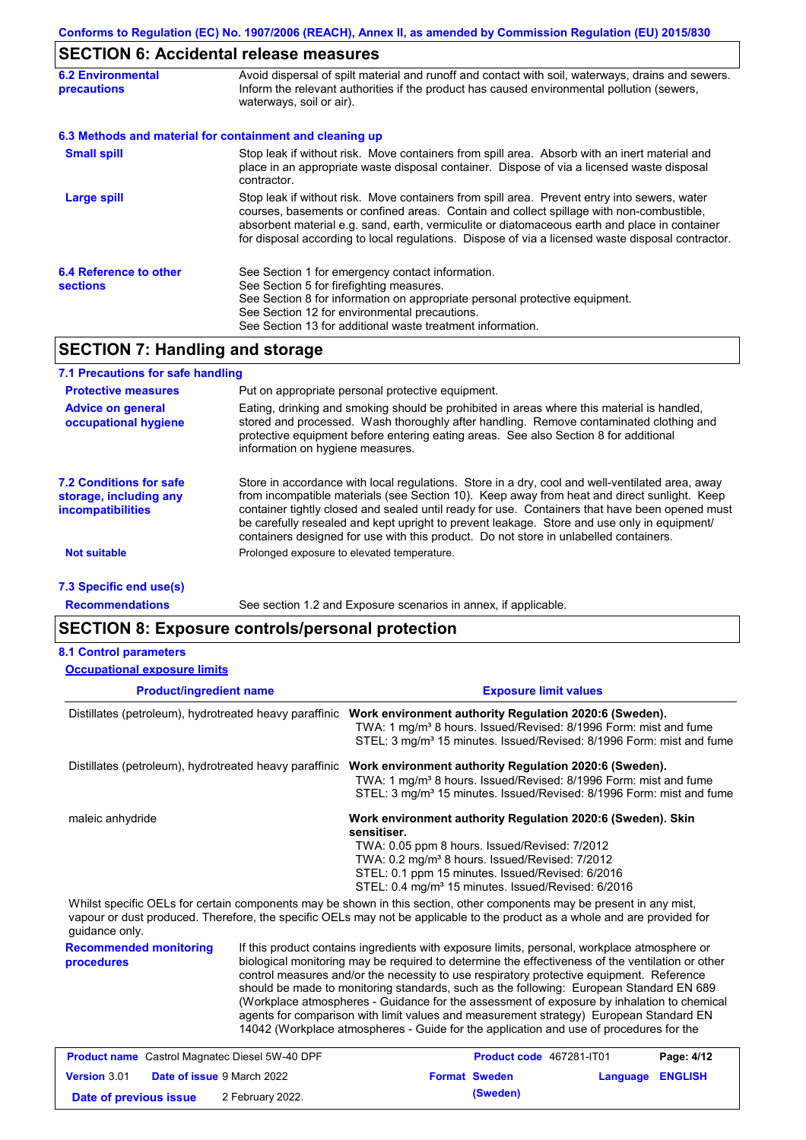### **SECTION 6: Accidental release measures**

| <b>6.2 Environmental</b><br><b>precautions</b> | Avoid dispersal of spilt material and runoff and contact with soil, waterways, drains and sewers.<br>Inform the relevant authorities if the product has caused environmental pollution (sewers,<br>waterways, soil or air).                                                                                                                                                                    |
|------------------------------------------------|------------------------------------------------------------------------------------------------------------------------------------------------------------------------------------------------------------------------------------------------------------------------------------------------------------------------------------------------------------------------------------------------|
|                                                | 6.3 Methods and material for containment and cleaning up                                                                                                                                                                                                                                                                                                                                       |
| <b>Small spill</b>                             | Stop leak if without risk. Move containers from spill area. Absorb with an inert material and<br>place in an appropriate waste disposal container. Dispose of via a licensed waste disposal<br>contractor.                                                                                                                                                                                     |
| <b>Large spill</b>                             | Stop leak if without risk. Move containers from spill area. Prevent entry into sewers, water<br>courses, basements or confined areas. Contain and collect spillage with non-combustible,<br>absorbent material e.g. sand, earth, vermiculite or diatomaceous earth and place in container<br>for disposal according to local regulations. Dispose of via a licensed waste disposal contractor. |
| 6.4 Reference to other<br><b>sections</b>      | See Section 1 for emergency contact information.<br>See Section 5 for firefighting measures.<br>See Section 8 for information on appropriate personal protective equipment.<br>See Section 12 for environmental precautions.<br>See Section 13 for additional waste treatment information.                                                                                                     |

### **SECTION 7: Handling and storage**

| 7.1 Precautions for safe handling                                                    |                                                                                                                                                                                                                                                                                                                                                                                                                                                                                          |
|--------------------------------------------------------------------------------------|------------------------------------------------------------------------------------------------------------------------------------------------------------------------------------------------------------------------------------------------------------------------------------------------------------------------------------------------------------------------------------------------------------------------------------------------------------------------------------------|
| <b>Protective measures</b>                                                           | Put on appropriate personal protective equipment.                                                                                                                                                                                                                                                                                                                                                                                                                                        |
| <b>Advice on general</b><br>occupational hygiene                                     | Eating, drinking and smoking should be prohibited in areas where this material is handled,<br>stored and processed. Wash thoroughly after handling. Remove contaminated clothing and<br>protective equipment before entering eating areas. See also Section 8 for additional<br>information on hygiene measures.                                                                                                                                                                         |
| <b>7.2 Conditions for safe</b><br>storage, including any<br><i>incompatibilities</i> | Store in accordance with local regulations. Store in a dry, cool and well-ventilated area, away<br>from incompatible materials (see Section 10). Keep away from heat and direct sunlight. Keep<br>container tightly closed and sealed until ready for use. Containers that have been opened must<br>be carefully resealed and kept upright to prevent leakage. Store and use only in equipment/<br>containers designed for use with this product. Do not store in unlabelled containers. |
| <b>Not suitable</b>                                                                  | Prolonged exposure to elevated temperature.                                                                                                                                                                                                                                                                                                                                                                                                                                              |
| 7.3 Specific end use(s)                                                              |                                                                                                                                                                                                                                                                                                                                                                                                                                                                                          |

**Recommendations**

See section 1.2 and Exposure scenarios in annex, if applicable.

### **SECTION 8: Exposure controls/personal protection**

| <b>Occupational exposure limits</b>                    |                                                                                                                                                                                                                                                                                                                 |  |  |  |
|--------------------------------------------------------|-----------------------------------------------------------------------------------------------------------------------------------------------------------------------------------------------------------------------------------------------------------------------------------------------------------------|--|--|--|
| <b>Product/ingredient name</b>                         | <b>Exposure limit values</b>                                                                                                                                                                                                                                                                                    |  |  |  |
| Distillates (petroleum), hydrotreated heavy paraffinic | Work environment authority Regulation 2020:6 (Sweden).<br>TWA: 1 mg/m <sup>3</sup> 8 hours. Issued/Revised: 8/1996 Form: mist and fume<br>STEL: 3 mg/m <sup>3</sup> 15 minutes. Issued/Revised: 8/1996 Form: mist and fume                                                                                      |  |  |  |
| Distillates (petroleum), hydrotreated heavy paraffinic | Work environment authority Regulation 2020:6 (Sweden).<br>TWA: 1 mg/m <sup>3</sup> 8 hours. Issued/Revised: 8/1996 Form: mist and fume<br>STEL: 3 mg/m <sup>3</sup> 15 minutes. Issued/Revised: 8/1996 Form: mist and fume                                                                                      |  |  |  |
| maleic anhydride                                       | Work environment authority Regulation 2020:6 (Sweden). Skin<br>sensitiser.<br>TWA: 0.05 ppm 8 hours. Issued/Revised: 7/2012<br>TWA: 0.2 mg/m <sup>3</sup> 8 hours. Issued/Revised: 7/2012<br>STEL: 0.1 ppm 15 minutes. Issued/Revised: 6/2016<br>STEL: 0.4 mg/m <sup>3</sup> 15 minutes. Issued/Revised: 6/2016 |  |  |  |
|                                                        | Whilst specific OELs for certain components may be shown in this section, other components may be present in any mist,<br>vapour or dust produced. Therefore, the specific OELs may not be applicable to the product as a whole and are provided for                                                            |  |  |  |

guidance only.

**Recommended monitoring procedures** If this product contains ingredients with exposure limits, personal, workplace atmosphere or biological monitoring may be required to determine the effectiveness of the ventilation or other control measures and/or the necessity to use respiratory protective equipment. Reference should be made to monitoring standards, such as the following: European Standard EN 689 (Workplace atmospheres - Guidance for the assessment of exposure by inhalation to chemical agents for comparison with limit values and measurement strategy) European Standard EN 14042 (Workplace atmospheres - Guide for the application and use of procedures for the

| <b>Product name</b> Castrol Magnatec Diesel 5W-40 DPF |  | <b>Product code 467281-IT01</b>   |                      | Page: 4/12              |  |
|-------------------------------------------------------|--|-----------------------------------|----------------------|-------------------------|--|
| <b>Version 3.01</b>                                   |  | <b>Date of issue 9 March 2022</b> | <b>Format Sweden</b> | <b>Language ENGLISH</b> |  |
| Date of previous issue                                |  | 2 February 2022.                  | (Sweden)             |                         |  |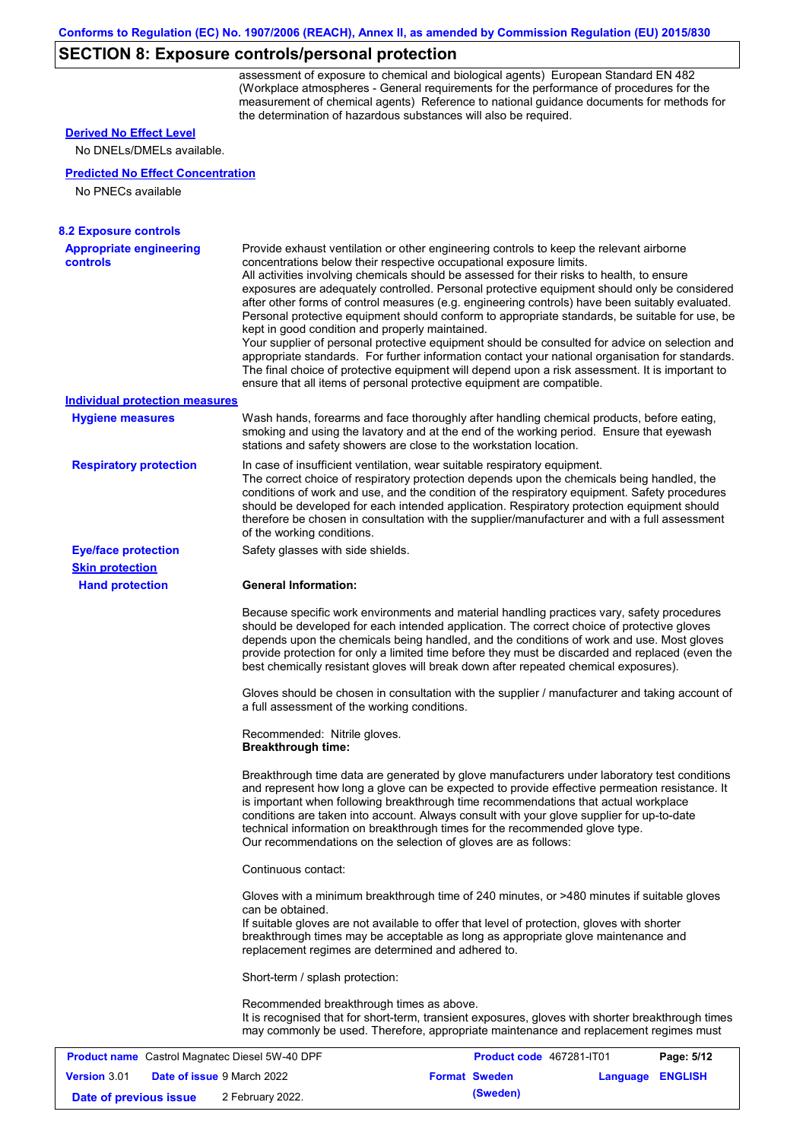## **SECTION 8: Exposure controls/personal protection**

assessment of exposure to chemical and biological agents) European Standard EN 482 (Workplace atmospheres - General requirements for the performance of procedures for the measurement of chemical agents) Reference to national guidance documents for methods for the determination of hazardous substances will also be required.

|  |  | <b>Derived No Effect Level</b> |  |
|--|--|--------------------------------|--|
|--|--|--------------------------------|--|

No DNELs/DMELs available.

#### **Predicted No Effect Concentration**

No PNECs available

| <b>8.2 Exposure controls</b><br><b>Appropriate engineering</b> |                                                                     | Provide exhaust ventilation or other engineering controls to keep the relevant airborne                                                                                                                                                                                                                                                                                                                                                                                          |            |
|----------------------------------------------------------------|---------------------------------------------------------------------|----------------------------------------------------------------------------------------------------------------------------------------------------------------------------------------------------------------------------------------------------------------------------------------------------------------------------------------------------------------------------------------------------------------------------------------------------------------------------------|------------|
| controls                                                       | concentrations below their respective occupational exposure limits. |                                                                                                                                                                                                                                                                                                                                                                                                                                                                                  |            |
|                                                                | kept in good condition and properly maintained.                     | All activities involving chemicals should be assessed for their risks to health, to ensure<br>exposures are adequately controlled. Personal protective equipment should only be considered<br>after other forms of control measures (e.g. engineering controls) have been suitably evaluated.<br>Personal protective equipment should conform to appropriate standards, be suitable for use, be                                                                                  |            |
|                                                                |                                                                     | Your supplier of personal protective equipment should be consulted for advice on selection and<br>appropriate standards. For further information contact your national organisation for standards.<br>The final choice of protective equipment will depend upon a risk assessment. It is important to<br>ensure that all items of personal protective equipment are compatible.                                                                                                  |            |
| <b>Individual protection measures</b>                          |                                                                     |                                                                                                                                                                                                                                                                                                                                                                                                                                                                                  |            |
| <b>Hygiene measures</b>                                        | stations and safety showers are close to the workstation location.  | Wash hands, forearms and face thoroughly after handling chemical products, before eating,<br>smoking and using the lavatory and at the end of the working period. Ensure that eyewash                                                                                                                                                                                                                                                                                            |            |
| <b>Respiratory protection</b>                                  | of the working conditions.                                          | In case of insufficient ventilation, wear suitable respiratory equipment.<br>The correct choice of respiratory protection depends upon the chemicals being handled, the<br>conditions of work and use, and the condition of the respiratory equipment. Safety procedures<br>should be developed for each intended application. Respiratory protection equipment should<br>therefore be chosen in consultation with the supplier/manufacturer and with a full assessment          |            |
| <b>Eye/face protection</b>                                     | Safety glasses with side shields.                                   |                                                                                                                                                                                                                                                                                                                                                                                                                                                                                  |            |
| <b>Skin protection</b>                                         |                                                                     |                                                                                                                                                                                                                                                                                                                                                                                                                                                                                  |            |
| <b>Hand protection</b>                                         | <b>General Information:</b>                                         |                                                                                                                                                                                                                                                                                                                                                                                                                                                                                  |            |
|                                                                |                                                                     | Because specific work environments and material handling practices vary, safety procedures<br>should be developed for each intended application. The correct choice of protective gloves<br>depends upon the chemicals being handled, and the conditions of work and use. Most gloves<br>provide protection for only a limited time before they must be discarded and replaced (even the<br>best chemically resistant gloves will break down after repeated chemical exposures). |            |
|                                                                | a full assessment of the working conditions.                        | Gloves should be chosen in consultation with the supplier / manufacturer and taking account of                                                                                                                                                                                                                                                                                                                                                                                   |            |
|                                                                | Recommended: Nitrile gloves.<br><b>Breakthrough time:</b>           |                                                                                                                                                                                                                                                                                                                                                                                                                                                                                  |            |
|                                                                | Our recommendations on the selection of gloves are as follows:      | Breakthrough time data are generated by glove manufacturers under laboratory test conditions<br>and represent how long a glove can be expected to provide effective permeation resistance. It<br>is important when following breakthrough time recommendations that actual workplace<br>conditions are taken into account. Always consult with your glove supplier for up-to-date<br>technical information on breakthrough times for the recommended glove type.                 |            |
|                                                                | Continuous contact:                                                 |                                                                                                                                                                                                                                                                                                                                                                                                                                                                                  |            |
|                                                                | can be obtained.                                                    | Gloves with a minimum breakthrough time of 240 minutes, or >480 minutes if suitable gloves                                                                                                                                                                                                                                                                                                                                                                                       |            |
|                                                                | replacement regimes are determined and adhered to.                  | If suitable gloves are not available to offer that level of protection, gloves with shorter<br>breakthrough times may be acceptable as long as appropriate glove maintenance and                                                                                                                                                                                                                                                                                                 |            |
|                                                                | Short-term / splash protection:                                     |                                                                                                                                                                                                                                                                                                                                                                                                                                                                                  |            |
|                                                                | Recommended breakthrough times as above.                            | It is recognised that for short-term, transient exposures, gloves with shorter breakthrough times<br>may commonly be used. Therefore, appropriate maintenance and replacement regimes must                                                                                                                                                                                                                                                                                       |            |
|                                                                | <b>Product name</b> Castrol Magnatec Diesel 5W-40 DPF               | Product code 467281-IT01                                                                                                                                                                                                                                                                                                                                                                                                                                                         | Page: 5/12 |

|                        |  |                                   |                      |                  | -------- |
|------------------------|--|-----------------------------------|----------------------|------------------|----------|
| <b>Version 3.01</b>    |  | <b>Date of issue 9 March 2022</b> | <b>Format Sweden</b> | Language ENGLISH |          |
| Date of previous issue |  | 2 February 2022.                  | (Sweden)             |                  |          |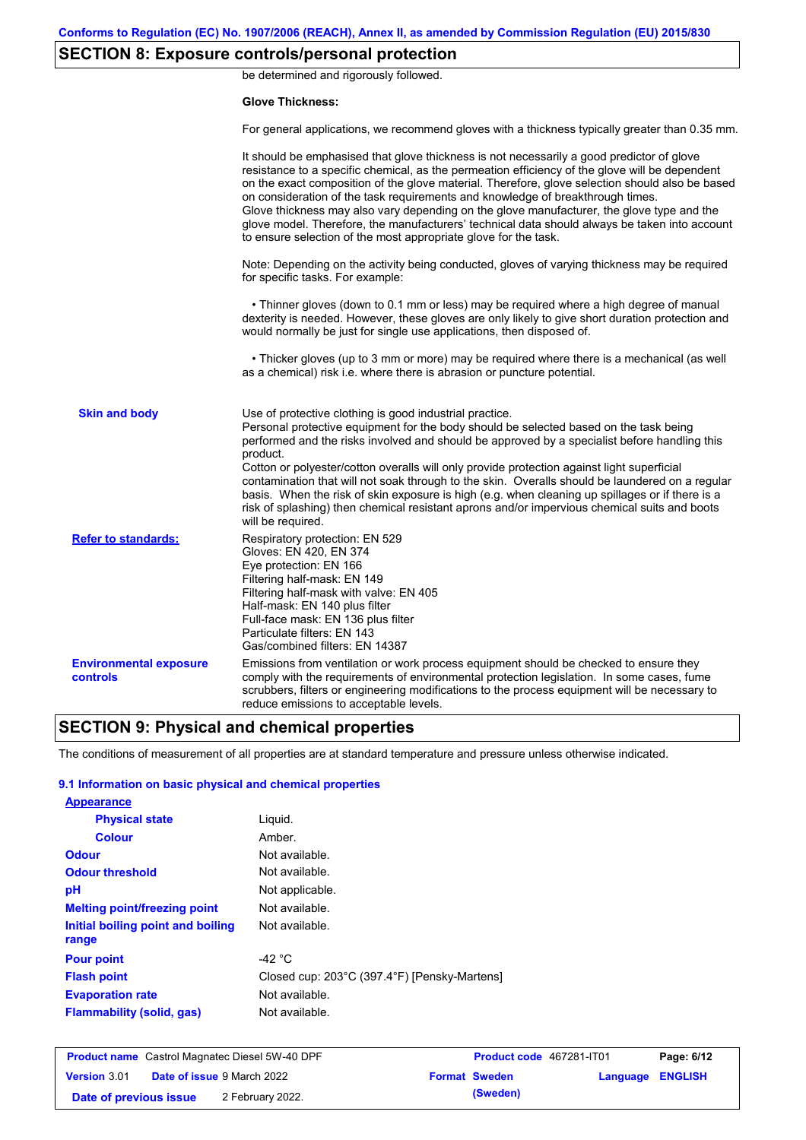## **SECTION 8: Exposure controls/personal protection**

be determined and rigorously followed.

#### **Glove Thickness:**

For general applications, we recommend gloves with a thickness typically greater than 0.35 mm.

|                                           | It should be emphasised that glove thickness is not necessarily a good predictor of glove<br>resistance to a specific chemical, as the permeation efficiency of the glove will be dependent<br>on the exact composition of the glove material. Therefore, glove selection should also be based<br>on consideration of the task requirements and knowledge of breakthrough times.<br>Glove thickness may also vary depending on the glove manufacturer, the glove type and the<br>glove model. Therefore, the manufacturers' technical data should always be taken into account<br>to ensure selection of the most appropriate glove for the task.                                     |
|-------------------------------------------|---------------------------------------------------------------------------------------------------------------------------------------------------------------------------------------------------------------------------------------------------------------------------------------------------------------------------------------------------------------------------------------------------------------------------------------------------------------------------------------------------------------------------------------------------------------------------------------------------------------------------------------------------------------------------------------|
|                                           | Note: Depending on the activity being conducted, gloves of varying thickness may be required<br>for specific tasks. For example:                                                                                                                                                                                                                                                                                                                                                                                                                                                                                                                                                      |
|                                           | • Thinner gloves (down to 0.1 mm or less) may be required where a high degree of manual<br>dexterity is needed. However, these gloves are only likely to give short duration protection and<br>would normally be just for single use applications, then disposed of.                                                                                                                                                                                                                                                                                                                                                                                                                  |
|                                           | • Thicker gloves (up to 3 mm or more) may be required where there is a mechanical (as well<br>as a chemical) risk i.e. where there is abrasion or puncture potential.                                                                                                                                                                                                                                                                                                                                                                                                                                                                                                                 |
| <b>Skin and body</b>                      | Use of protective clothing is good industrial practice.<br>Personal protective equipment for the body should be selected based on the task being<br>performed and the risks involved and should be approved by a specialist before handling this<br>product.<br>Cotton or polyester/cotton overalls will only provide protection against light superficial<br>contamination that will not soak through to the skin. Overalls should be laundered on a regular<br>basis. When the risk of skin exposure is high (e.g. when cleaning up spillages or if there is a<br>risk of splashing) then chemical resistant aprons and/or impervious chemical suits and boots<br>will be required. |
| <b>Refer to standards:</b>                | Respiratory protection: EN 529<br>Gloves: EN 420, EN 374<br>Eye protection: EN 166<br>Filtering half-mask: EN 149<br>Filtering half-mask with valve: EN 405<br>Half-mask: EN 140 plus filter<br>Full-face mask: EN 136 plus filter<br>Particulate filters: EN 143<br>Gas/combined filters: EN 14387                                                                                                                                                                                                                                                                                                                                                                                   |
| <b>Environmental exposure</b><br>controls | Emissions from ventilation or work process equipment should be checked to ensure they<br>comply with the requirements of environmental protection legislation. In some cases, fume<br>scrubbers, filters or engineering modifications to the process equipment will be necessary to<br>reduce emissions to acceptable levels.                                                                                                                                                                                                                                                                                                                                                         |

### **SECTION 9: Physical and chemical properties**

The conditions of measurement of all properties are at standard temperature and pressure unless otherwise indicated.

#### **9.1 Information on basic physical and chemical properties**

| <b>Appearance</b>                          |                                              |
|--------------------------------------------|----------------------------------------------|
| <b>Physical state</b>                      | Liguid.                                      |
| <b>Colour</b>                              | Amber.                                       |
| <b>Odour</b>                               | Not available.                               |
| <b>Odour threshold</b>                     | Not available.                               |
| рH                                         | Not applicable.                              |
| <b>Melting point/freezing point</b>        | Not available.                               |
| Initial boiling point and boiling<br>range | Not available.                               |
| <b>Pour point</b>                          | -42 $^{\circ}$ C                             |
| <b>Flash point</b>                         | Closed cup: 203°C (397.4°F) [Pensky-Martens] |
| <b>Evaporation rate</b>                    | Not available.                               |
| <b>Flammability (solid, gas)</b>           | Not available.                               |

| <b>Product name</b> Castrol Magnatec Diesel 5W-40 DPF    |  |                      | <b>Product code</b> 467281-IT01 |  | Page: 6/12 |
|----------------------------------------------------------|--|----------------------|---------------------------------|--|------------|
| <b>Date of issue 9 March 2022</b><br><b>Version 3.01</b> |  | <b>Format Sweden</b> | Language ENGLISH                |  |            |
| Date of previous issue                                   |  | 2 February 2022.     | (Sweden)                        |  |            |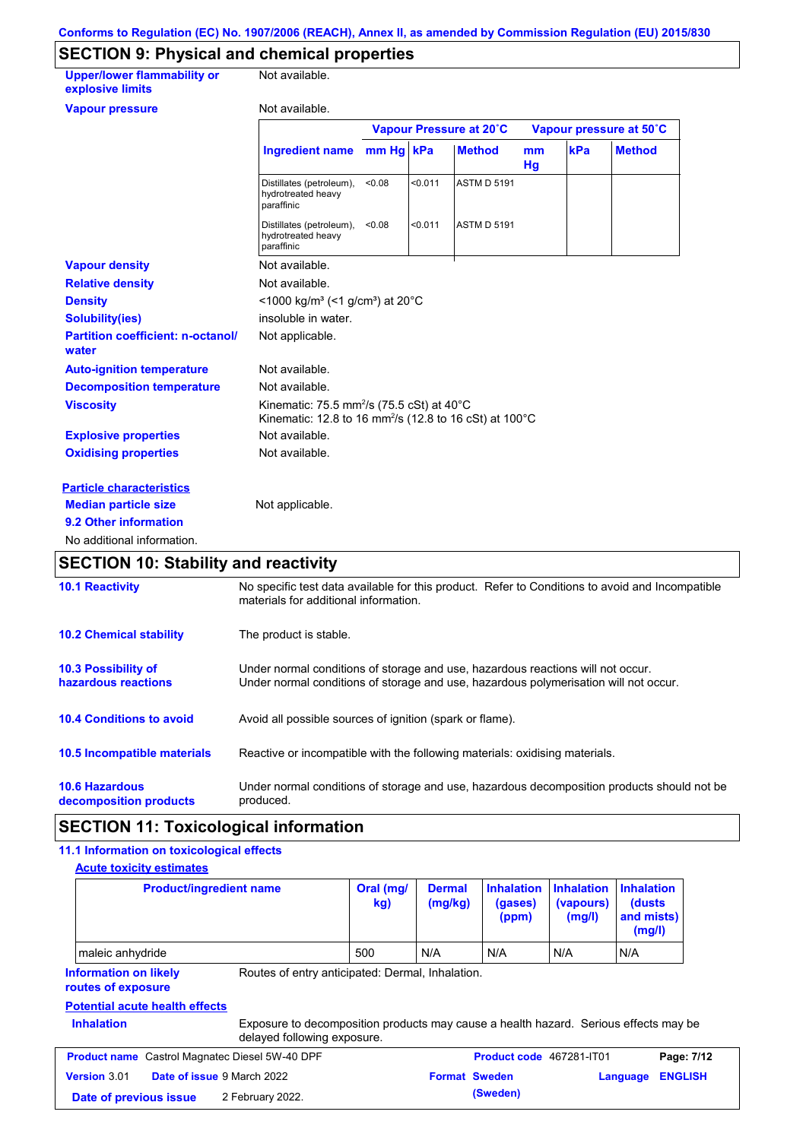## **SECTION 9: Physical and chemical properties**

| <b>Upper/lower flammability or</b><br>explosive limits | Not available.                                                                                                                                    |           |                         |                    |          |                         |               |
|--------------------------------------------------------|---------------------------------------------------------------------------------------------------------------------------------------------------|-----------|-------------------------|--------------------|----------|-------------------------|---------------|
| <b>Vapour pressure</b>                                 | Not available.                                                                                                                                    |           |                         |                    |          |                         |               |
|                                                        |                                                                                                                                                   |           | Vapour Pressure at 20°C |                    |          | Vapour pressure at 50°C |               |
|                                                        | <b>Ingredient name</b>                                                                                                                            | mm Hg kPa |                         | <b>Method</b>      | mm<br>Hg | kPa                     | <b>Method</b> |
|                                                        | Distillates (petroleum),<br>hydrotreated heavy<br>paraffinic                                                                                      | < 0.08    | < 0.011                 | <b>ASTM D 5191</b> |          |                         |               |
|                                                        | Distillates (petroleum),<br>hydrotreated heavy<br>paraffinic                                                                                      | < 0.08    | < 0.011                 | <b>ASTM D 5191</b> |          |                         |               |
| <b>Vapour density</b>                                  | Not available.                                                                                                                                    |           |                         |                    |          |                         |               |
| <b>Relative density</b>                                | Not available.                                                                                                                                    |           |                         |                    |          |                         |               |
| <b>Density</b>                                         | <1000 kg/m <sup>3</sup> (<1 g/cm <sup>3</sup> ) at 20 <sup>°</sup> C                                                                              |           |                         |                    |          |                         |               |
| <b>Solubility(ies)</b>                                 | insoluble in water.                                                                                                                               |           |                         |                    |          |                         |               |
| <b>Partition coefficient: n-octanol/</b><br>water      | Not applicable.                                                                                                                                   |           |                         |                    |          |                         |               |
| <b>Auto-ignition temperature</b>                       | Not available.                                                                                                                                    |           |                         |                    |          |                         |               |
| <b>Decomposition temperature</b>                       | Not available.                                                                                                                                    |           |                         |                    |          |                         |               |
| <b>Viscosity</b>                                       | Kinematic: 75.5 mm <sup>2</sup> /s (75.5 cSt) at 40 $^{\circ}$ C<br>Kinematic: 12.8 to 16 mm <sup>2</sup> /s (12.8 to 16 cSt) at 100 $^{\circ}$ C |           |                         |                    |          |                         |               |
| <b>Explosive properties</b>                            | Not available.                                                                                                                                    |           |                         |                    |          |                         |               |
| <b>Oxidising properties</b>                            | Not available.                                                                                                                                    |           |                         |                    |          |                         |               |
| <b>Particle characteristics</b>                        |                                                                                                                                                   |           |                         |                    |          |                         |               |
| <b>Median particle size</b>                            | Not applicable.                                                                                                                                   |           |                         |                    |          |                         |               |
| 9.2 Other information                                  |                                                                                                                                                   |           |                         |                    |          |                         |               |
| No additional information.                             |                                                                                                                                                   |           |                         |                    |          |                         |               |
| <b>SECTION 10: Stability and reactivity</b>            |                                                                                                                                                   |           |                         |                    |          |                         |               |
| <b>10.1 Reactivity</b>                                 | No specific test data available for this product. Refer to Conditions to avoid and Incompatible<br>materials for additional information.          |           |                         |                    |          |                         |               |
| <b>10.2 Chemical stability</b>                         | The product is stable.                                                                                                                            |           |                         |                    |          |                         |               |

| <b>10.4 Conditions to avoid</b> | Avoid all possible sources of ignition (spark or flame). |
|---------------------------------|----------------------------------------------------------|

**10.5 Incompatible materials** Reactive or incompatible with the following materials: oxidising materials.

**10.6 Hazardous decomposition products** Under normal conditions of storage and use, hazardous decomposition products should not be produced.

Under normal conditions of storage and use, hazardous reactions will not occur. Under normal conditions of storage and use, hazardous polymerisation will not occur.

### **SECTION 11: Toxicological information**

#### **11.1 Information on toxicological effects Acute toxicity estimates**

**10.3 Possibility of hazardous reactions**

|                                                       | <b>Product/ingredient name</b>                                                                                      | Oral (mg/<br>kg) | <b>Dermal</b><br>(mg/kg) | <b>Inhalation</b><br>(gases)<br>(ppm) | <b>Inhalation</b><br>(vapours)<br>(mg/l) | <b>Inhalation</b><br>(dusts)<br>and mists)<br>(mg/l) |  |
|-------------------------------------------------------|---------------------------------------------------------------------------------------------------------------------|------------------|--------------------------|---------------------------------------|------------------------------------------|------------------------------------------------------|--|
| maleic anhydride                                      |                                                                                                                     | 500              | N/A                      | N/A                                   | N/A                                      | N/A                                                  |  |
| <b>Information on likely</b><br>routes of exposure    | Routes of entry anticipated: Dermal, Inhalation.                                                                    |                  |                          |                                       |                                          |                                                      |  |
| <b>Potential acute health effects</b>                 |                                                                                                                     |                  |                          |                                       |                                          |                                                      |  |
| <b>Inhalation</b>                                     | Exposure to decomposition products may cause a health hazard. Serious effects may be<br>delayed following exposure. |                  |                          |                                       |                                          |                                                      |  |
| <b>Product name</b> Castrol Magnatec Diesel 5W-40 DPF |                                                                                                                     |                  |                          | Product code 467281-IT01              |                                          | Page: 7/12                                           |  |
| Version 3.01                                          | Date of issue 9 March 2022                                                                                          |                  | <b>Format Sweden</b>     |                                       |                                          | <b>ENGLISH</b><br>Language                           |  |
| Date of previous issue                                | 2 February 2022.                                                                                                    |                  | (Sweden)                 |                                       |                                          |                                                      |  |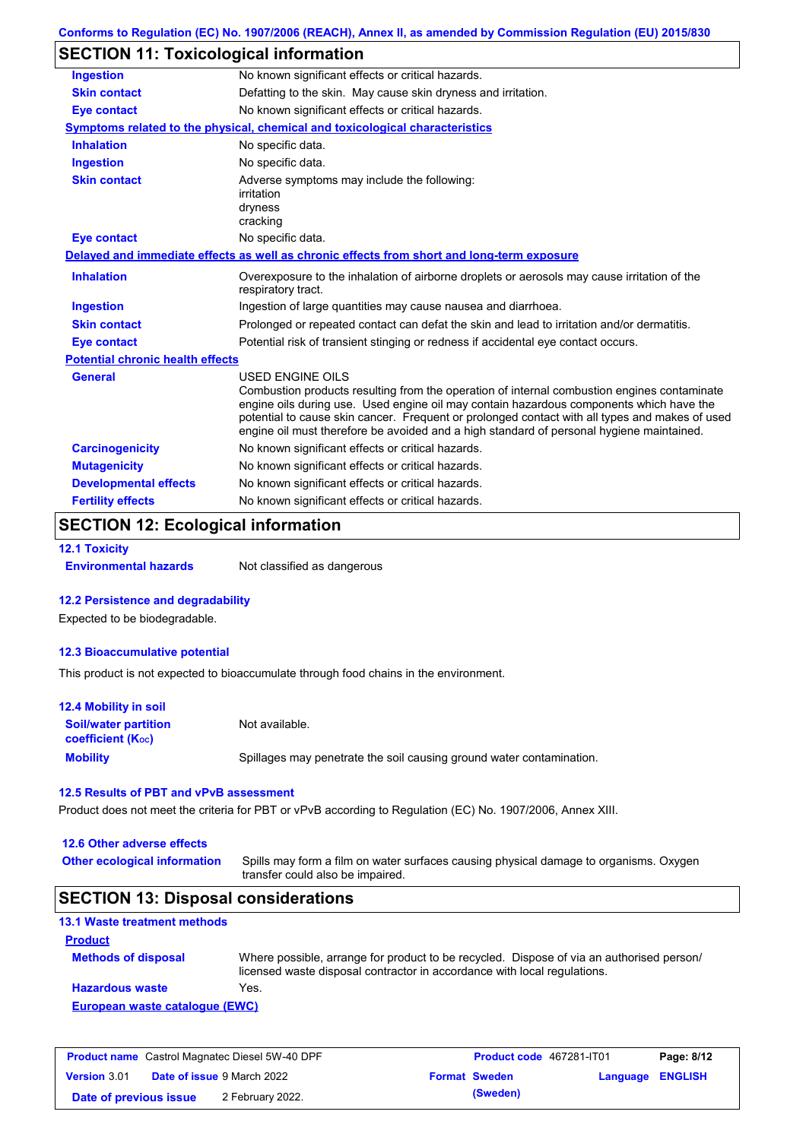| Conforms to Regulation (EC) No. 1907/2006 (REACH), Annex II, as amended by Commission Regulation (EU) 2015/830 |  |
|----------------------------------------------------------------------------------------------------------------|--|
|----------------------------------------------------------------------------------------------------------------|--|

## **SECTION 11: Toxicological information**

| <b>Ingestion</b>                        | No known significant effects or critical hazards.                                                                                                                                                                                                                                                                                                                                                               |  |  |
|-----------------------------------------|-----------------------------------------------------------------------------------------------------------------------------------------------------------------------------------------------------------------------------------------------------------------------------------------------------------------------------------------------------------------------------------------------------------------|--|--|
| <b>Skin contact</b>                     | Defatting to the skin. May cause skin dryness and irritation.                                                                                                                                                                                                                                                                                                                                                   |  |  |
| <b>Eye contact</b>                      | No known significant effects or critical hazards.                                                                                                                                                                                                                                                                                                                                                               |  |  |
|                                         | Symptoms related to the physical, chemical and toxicological characteristics                                                                                                                                                                                                                                                                                                                                    |  |  |
| <b>Inhalation</b>                       | No specific data.                                                                                                                                                                                                                                                                                                                                                                                               |  |  |
| <b>Ingestion</b>                        | No specific data.                                                                                                                                                                                                                                                                                                                                                                                               |  |  |
| <b>Skin contact</b>                     | Adverse symptoms may include the following:<br>irritation<br>dryness<br>cracking                                                                                                                                                                                                                                                                                                                                |  |  |
| Eye contact                             | No specific data.                                                                                                                                                                                                                                                                                                                                                                                               |  |  |
|                                         | Delayed and immediate effects as well as chronic effects from short and long-term exposure                                                                                                                                                                                                                                                                                                                      |  |  |
| <b>Inhalation</b>                       | Overexposure to the inhalation of airborne droplets or aerosols may cause irritation of the<br>respiratory tract.                                                                                                                                                                                                                                                                                               |  |  |
| <b>Ingestion</b>                        | Ingestion of large quantities may cause nausea and diarrhoea.                                                                                                                                                                                                                                                                                                                                                   |  |  |
| <b>Skin contact</b>                     | Prolonged or repeated contact can defat the skin and lead to irritation and/or dermatitis.                                                                                                                                                                                                                                                                                                                      |  |  |
| <b>Eye contact</b>                      | Potential risk of transient stinging or redness if accidental eye contact occurs.                                                                                                                                                                                                                                                                                                                               |  |  |
| <b>Potential chronic health effects</b> |                                                                                                                                                                                                                                                                                                                                                                                                                 |  |  |
| <b>General</b>                          | <b>USED ENGINE OILS</b><br>Combustion products resulting from the operation of internal combustion engines contaminate<br>engine oils during use. Used engine oil may contain hazardous components which have the<br>potential to cause skin cancer. Frequent or prolonged contact with all types and makes of used<br>engine oil must therefore be avoided and a high standard of personal hygiene maintained. |  |  |
| <b>Carcinogenicity</b>                  | No known significant effects or critical hazards.                                                                                                                                                                                                                                                                                                                                                               |  |  |
| <b>Mutagenicity</b>                     | No known significant effects or critical hazards.                                                                                                                                                                                                                                                                                                                                                               |  |  |
| <b>Developmental effects</b>            | No known significant effects or critical hazards.                                                                                                                                                                                                                                                                                                                                                               |  |  |
| <b>Fertility effects</b>                | No known significant effects or critical hazards.                                                                                                                                                                                                                                                                                                                                                               |  |  |

### **SECTION 12: Ecological information**

**12.1 Toxicity**

**Environmental hazards** Not classified as dangerous

#### **12.2 Persistence and degradability**

Expected to be biodegradable.

#### **12.3 Bioaccumulative potential**

This product is not expected to bioaccumulate through food chains in the environment.

| <b>12.4 Mobility in soil</b>                                  |                                                                      |
|---------------------------------------------------------------|----------------------------------------------------------------------|
| <b>Soil/water partition</b><br>coefficient (K <sub>oc</sub> ) | Not available.                                                       |
| <b>Mobility</b>                                               | Spillages may penetrate the soil causing ground water contamination. |

### **12.5 Results of PBT and vPvB assessment**

Product does not meet the criteria for PBT or vPvB according to Regulation (EC) No. 1907/2006, Annex XIII.

#### **12.6 Other adverse effects**

**Other ecological information**

Spills may form a film on water surfaces causing physical damage to organisms. Oxygen transfer could also be impaired.

## **SECTION 13: Disposal considerations**

| <b>13.1 Waste treatment methods</b> |                                                                                                                                                                      |
|-------------------------------------|----------------------------------------------------------------------------------------------------------------------------------------------------------------------|
| <b>Product</b>                      |                                                                                                                                                                      |
| <b>Methods of disposal</b>          | Where possible, arrange for product to be recycled. Dispose of via an authorised person/<br>licensed waste disposal contractor in accordance with local regulations. |
| <b>Hazardous waste</b>              | Yes.                                                                                                                                                                 |
| European waste catalogue (EWC)      |                                                                                                                                                                      |

| <b>Product name</b> Castrol Magnatec Diesel 5W-40 DPF |  | <b>Product code</b> 467281-IT01   |                      | Page: 8/12       |  |
|-------------------------------------------------------|--|-----------------------------------|----------------------|------------------|--|
| <b>Version 3.01</b>                                   |  | <b>Date of issue 9 March 2022</b> | <b>Format Sweden</b> | Language ENGLISH |  |
| Date of previous issue                                |  | 2 February 2022.                  | (Sweden)             |                  |  |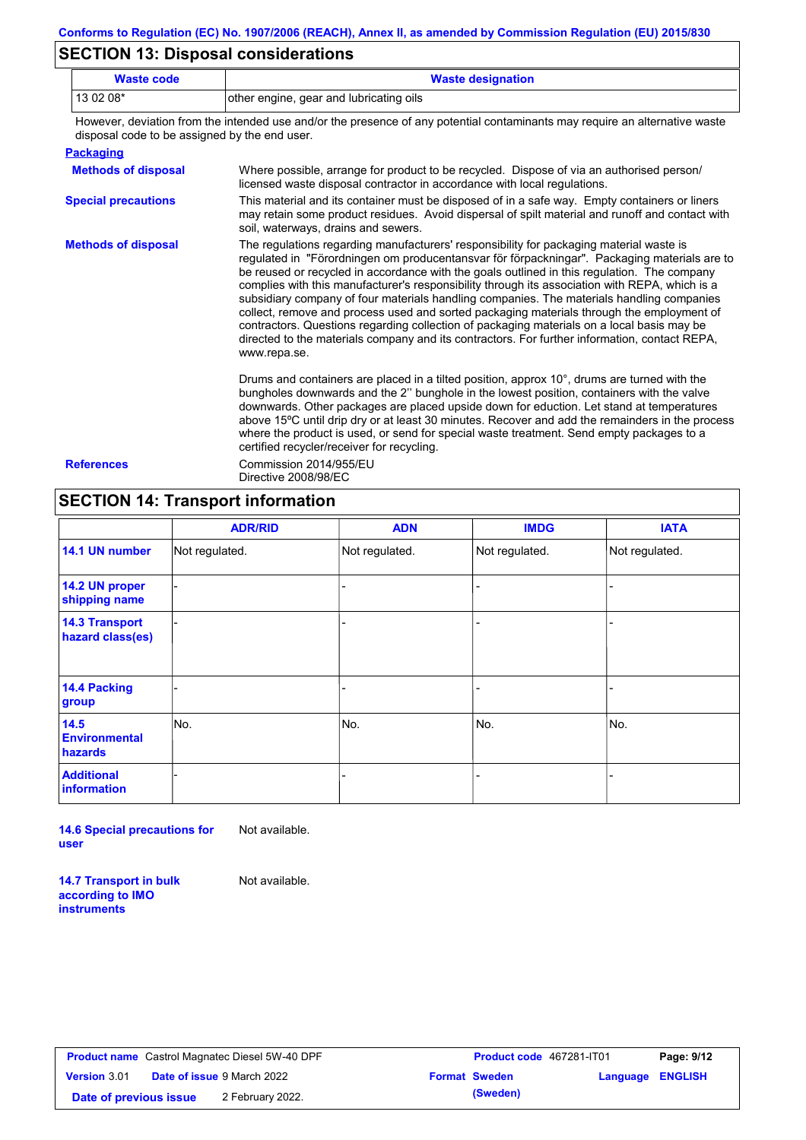## **SECTION 13: Disposal considerations**

| <b>Waste code</b> | <b>Waste designation</b>                |  |
|-------------------|-----------------------------------------|--|
| $130208*$         | other engine, gear and lubricating oils |  |

However, deviation from the intended use and/or the presence of any potential contaminants may require an alternative waste disposal code to be assigned by the end user.

|--|

| <b>Methods of disposal</b> | Where possible, arrange for product to be recycled. Dispose of via an authorised person/<br>licensed waste disposal contractor in accordance with local regulations.                                                                                                                                                                                                                                                                                                                                                                                                                                                                                                                                                                                                                              |
|----------------------------|---------------------------------------------------------------------------------------------------------------------------------------------------------------------------------------------------------------------------------------------------------------------------------------------------------------------------------------------------------------------------------------------------------------------------------------------------------------------------------------------------------------------------------------------------------------------------------------------------------------------------------------------------------------------------------------------------------------------------------------------------------------------------------------------------|
| <b>Special precautions</b> | This material and its container must be disposed of in a safe way. Empty containers or liners<br>may retain some product residues. Avoid dispersal of spilt material and runoff and contact with<br>soil, waterways, drains and sewers.                                                                                                                                                                                                                                                                                                                                                                                                                                                                                                                                                           |
| <b>Methods of disposal</b> | The regulations regarding manufacturers' responsibility for packaging material waste is<br>regulated in "Förordningen om producentansvar för förpackningar". Packaging materials are to<br>be reused or recycled in accordance with the goals outlined in this regulation. The company<br>complies with this manufacturer's responsibility through its association with REPA, which is a<br>subsidiary company of four materials handling companies. The materials handling companies<br>collect, remove and process used and sorted packaging materials through the employment of<br>contractors. Questions regarding collection of packaging materials on a local basis may be<br>directed to the materials company and its contractors. For further information, contact REPA,<br>www.repa.se. |
|                            | Drums and containers are placed in a tilted position, approx $10^{\circ}$ , drums are turned with the<br>bungholes downwards and the 2" bunghole in the lowest position, containers with the valve<br>downwards. Other packages are placed upside down for eduction. Let stand at temperatures<br>above 15°C until drip dry or at least 30 minutes. Recover and add the remainders in the process<br>where the product is used, or send for special waste treatment. Send empty packages to a<br>certified recycler/receiver for recycling.                                                                                                                                                                                                                                                       |
| <b>References</b>          | Commission 2014/955/EU                                                                                                                                                                                                                                                                                                                                                                                                                                                                                                                                                                                                                                                                                                                                                                            |

Directive 2008/98/EC

### **SECTION 14: Transport information**

|                                           | <b>ADR/RID</b> | <b>ADN</b>     | <b>IMDG</b>    | <b>IATA</b>    |
|-------------------------------------------|----------------|----------------|----------------|----------------|
| 14.1 UN number                            | Not regulated. | Not regulated. | Not regulated. | Not regulated. |
| 14.2 UN proper<br>shipping name           |                |                |                |                |
| <b>14.3 Transport</b><br>hazard class(es) |                |                |                |                |
| 14.4 Packing<br>group                     |                |                |                |                |
| 14.5<br><b>Environmental</b><br>hazards   | No.            | No.            | No.            | No.            |
| <b>Additional</b><br>information          |                |                |                |                |

**14.6 Special precautions for user** Not available.

**14.7 Transport in bulk according to IMO instruments**

Not available.

**Version** 3.01 **Date of previous issue (Sweden)** 2 February 2022.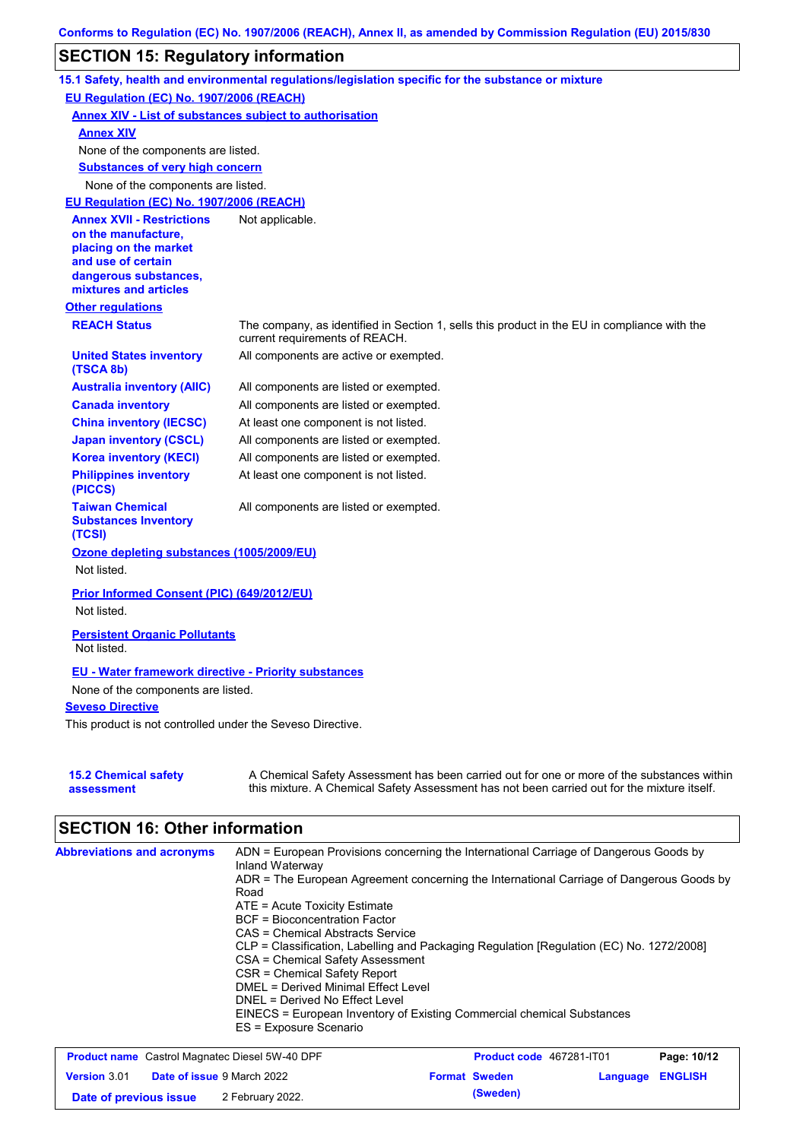### **SECTION 15: Regulatory information**

|                                                                                                                                                          | 15.1 Safety, health and environmental regulations/legislation specific for the substance or mixture                                                                                       |
|----------------------------------------------------------------------------------------------------------------------------------------------------------|-------------------------------------------------------------------------------------------------------------------------------------------------------------------------------------------|
| EU Regulation (EC) No. 1907/2006 (REACH)                                                                                                                 |                                                                                                                                                                                           |
| <b>Annex XIV - List of substances subject to authorisation</b>                                                                                           |                                                                                                                                                                                           |
| <b>Annex XIV</b>                                                                                                                                         |                                                                                                                                                                                           |
| None of the components are listed.                                                                                                                       |                                                                                                                                                                                           |
| <b>Substances of very high concern</b>                                                                                                                   |                                                                                                                                                                                           |
| None of the components are listed.                                                                                                                       |                                                                                                                                                                                           |
| EU Regulation (EC) No. 1907/2006 (REACH)                                                                                                                 |                                                                                                                                                                                           |
| <b>Annex XVII - Restrictions</b><br>on the manufacture,<br>placing on the market<br>and use of certain<br>dangerous substances,<br>mixtures and articles | Not applicable.                                                                                                                                                                           |
| <b>Other regulations</b>                                                                                                                                 |                                                                                                                                                                                           |
| <b>REACH Status</b>                                                                                                                                      | The company, as identified in Section 1, sells this product in the EU in compliance with the<br>current requirements of REACH.                                                            |
| <b>United States inventory</b><br>(TSCA 8b)                                                                                                              | All components are active or exempted.                                                                                                                                                    |
| <b>Australia inventory (AIIC)</b>                                                                                                                        | All components are listed or exempted.                                                                                                                                                    |
| <b>Canada inventory</b>                                                                                                                                  | All components are listed or exempted.                                                                                                                                                    |
| <b>China inventory (IECSC)</b>                                                                                                                           | At least one component is not listed.                                                                                                                                                     |
| <b>Japan inventory (CSCL)</b>                                                                                                                            | All components are listed or exempted.                                                                                                                                                    |
| <b>Korea inventory (KECI)</b>                                                                                                                            | All components are listed or exempted.                                                                                                                                                    |
| <b>Philippines inventory</b><br>(PICCS)                                                                                                                  | At least one component is not listed.                                                                                                                                                     |
| <b>Taiwan Chemical</b><br><b>Substances Inventory</b><br>(TCSI)                                                                                          | All components are listed or exempted.                                                                                                                                                    |
| Ozone depleting substances (1005/2009/EU)                                                                                                                |                                                                                                                                                                                           |
| Not listed.                                                                                                                                              |                                                                                                                                                                                           |
| Prior Informed Consent (PIC) (649/2012/EU)<br>Not listed.                                                                                                |                                                                                                                                                                                           |
| <b>Persistent Organic Pollutants</b><br>Not listed.                                                                                                      |                                                                                                                                                                                           |
| <b>EU - Water framework directive - Priority substances</b>                                                                                              |                                                                                                                                                                                           |
| None of the components are listed.                                                                                                                       |                                                                                                                                                                                           |
| <b>Seveso Directive</b>                                                                                                                                  |                                                                                                                                                                                           |
| This product is not controlled under the Seveso Directive.                                                                                               |                                                                                                                                                                                           |
|                                                                                                                                                          |                                                                                                                                                                                           |
| <b>15.2 Chemical safety</b><br>assessment                                                                                                                | A Chemical Safety Assessment has been carried out for one or more of the substances within<br>this mixture. A Chemical Safety Assessment has not been carried out for the mixture itself. |

# **SECTION 16: Other information**

| <b>Abbreviations and acronyms</b> | ADN = European Provisions concerning the International Carriage of Dangerous Goods by<br>Inland Waterway |
|-----------------------------------|----------------------------------------------------------------------------------------------------------|
|                                   | ADR = The European Agreement concerning the International Carriage of Dangerous Goods by                 |
|                                   |                                                                                                          |
|                                   | Road                                                                                                     |
|                                   | $ATE = Acute Toxicity Estimate$                                                                          |
|                                   | <b>BCF</b> = Bioconcentration Factor                                                                     |
|                                   | CAS = Chemical Abstracts Service                                                                         |
|                                   | CLP = Classification, Labelling and Packaging Regulation [Regulation (EC) No. 1272/2008]                 |
|                                   | CSA = Chemical Safety Assessment                                                                         |
|                                   | CSR = Chemical Safety Report                                                                             |
|                                   | DMEL = Derived Minimal Effect Level                                                                      |
|                                   | DNEL = Derived No Effect Level                                                                           |
|                                   | EINECS = European Inventory of Existing Commercial chemical Substances                                   |
|                                   | ES = Exposure Scenario                                                                                   |

| <b>Product name</b> Castrol Magnatec Diesel 5W-40 DPF |                                   |                  | <b>Product code</b> 467281-IT01 | Page: 10/12          |                         |  |
|-------------------------------------------------------|-----------------------------------|------------------|---------------------------------|----------------------|-------------------------|--|
| <b>Version 3.01</b>                                   | <b>Date of issue</b> 9 March 2022 |                  |                                 | <b>Format Sweden</b> | <b>Language ENGLISH</b> |  |
| Date of previous issue                                |                                   | 2 February 2022. |                                 | (Sweden)             |                         |  |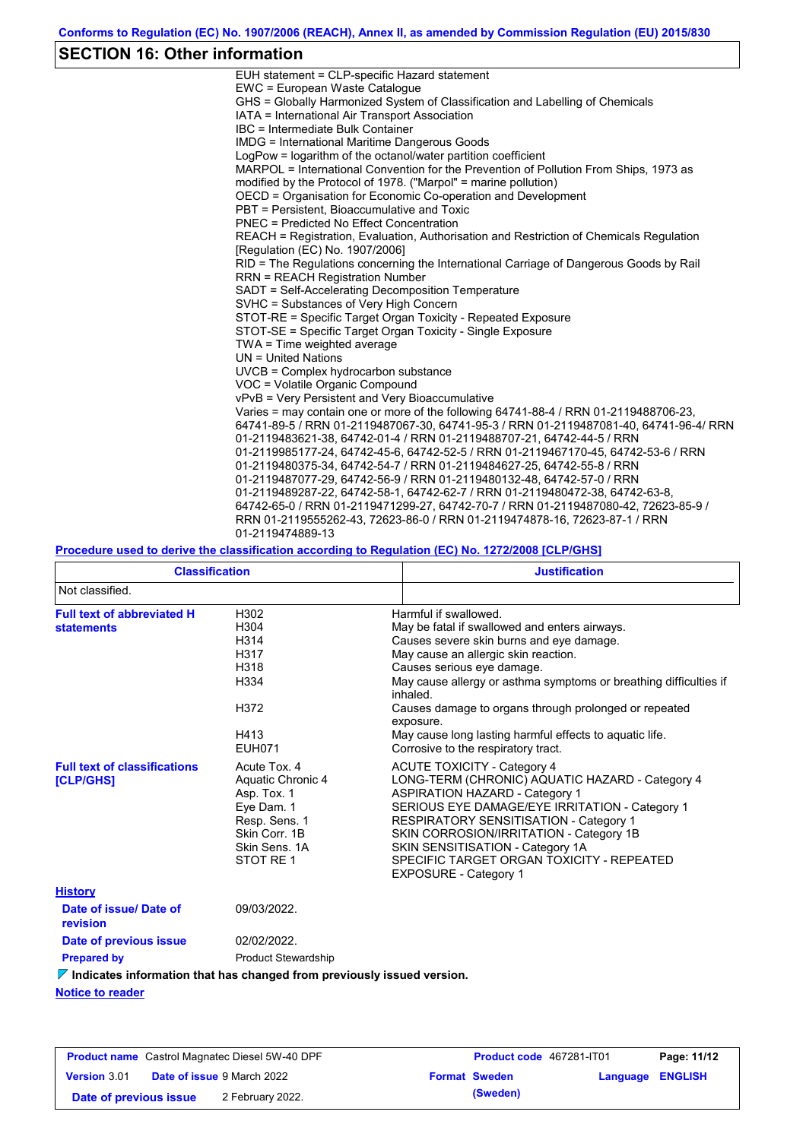# **SECTION 16: Other information**

| 64741-89-5 / RRN 01-2119487067-30, 64741-95-3 / RRN 01-2119487081-40, 64741-96-4/ RRN |
|---------------------------------------------------------------------------------------|
|                                                                                       |
|                                                                                       |
|                                                                                       |
|                                                                                       |
|                                                                                       |
|                                                                                       |
|                                                                                       |
|                                                                                       |
|                                                                                       |

### **Procedure used to derive the classification according to Regulation (EC) No. 1272/2008 [CLP/GHS]**

| <b>Classification</b>                                                                  |                                                                                                                                | <b>Justification</b>                                                                                                                                                                                                                                                                                                                                                                                                                              |  |  |  |
|----------------------------------------------------------------------------------------|--------------------------------------------------------------------------------------------------------------------------------|---------------------------------------------------------------------------------------------------------------------------------------------------------------------------------------------------------------------------------------------------------------------------------------------------------------------------------------------------------------------------------------------------------------------------------------------------|--|--|--|
| Not classified.                                                                        |                                                                                                                                |                                                                                                                                                                                                                                                                                                                                                                                                                                                   |  |  |  |
| <b>Full text of abbreviated H</b><br><b>statements</b>                                 | H302<br>H304<br>H314<br>H317<br>H318<br>H334<br>H372<br>H413<br><b>EUH071</b>                                                  | Harmful if swallowed.<br>May be fatal if swallowed and enters airways.<br>Causes severe skin burns and eye damage.<br>May cause an allergic skin reaction.<br>Causes serious eye damage.<br>May cause allergy or asthma symptoms or breathing difficulties if<br>inhaled.<br>Causes damage to organs through prolonged or repeated<br>exposure.<br>May cause long lasting harmful effects to aquatic life.<br>Corrosive to the respiratory tract. |  |  |  |
| <b>Full text of classifications</b><br><b>[CLP/GHS]</b>                                | Acute Tox, 4<br>Aquatic Chronic 4<br>Asp. Tox. 1<br>Eye Dam. 1<br>Resp. Sens. 1<br>Skin Corr. 1B<br>Skin Sens, 1A<br>STOT RE 1 | <b>ACUTE TOXICITY - Category 4</b><br>LONG-TERM (CHRONIC) AQUATIC HAZARD - Category 4<br><b>ASPIRATION HAZARD - Category 1</b><br>SERIOUS EYE DAMAGE/EYE IRRITATION - Category 1<br><b>RESPIRATORY SENSITISATION - Category 1</b><br>SKIN CORROSION/IRRITATION - Category 1B<br>SKIN SENSITISATION - Category 1A<br>SPECIFIC TARGET ORGAN TOXICITY - REPEATED<br><b>EXPOSURE - Category 1</b>                                                     |  |  |  |
| <b>History</b>                                                                         |                                                                                                                                |                                                                                                                                                                                                                                                                                                                                                                                                                                                   |  |  |  |
| Date of issue/Date of<br>revision                                                      | 09/03/2022.                                                                                                                    |                                                                                                                                                                                                                                                                                                                                                                                                                                                   |  |  |  |
| Date of previous issue                                                                 | 02/02/2022.                                                                                                                    |                                                                                                                                                                                                                                                                                                                                                                                                                                                   |  |  |  |
| <b>Prepared by</b>                                                                     | <b>Product Stewardship</b>                                                                                                     |                                                                                                                                                                                                                                                                                                                                                                                                                                                   |  |  |  |
| $\triangledown$ Indicates information that has changed from previously issued version. |                                                                                                                                |                                                                                                                                                                                                                                                                                                                                                                                                                                                   |  |  |  |
| <b>Notice to reader</b>                                                                |                                                                                                                                |                                                                                                                                                                                                                                                                                                                                                                                                                                                   |  |  |  |

| <b>Product name</b> Castrol Magnatec Diesel 5W-40 DPF |  | Product code 467281-IT01          |  | Page: 11/12          |                         |  |
|-------------------------------------------------------|--|-----------------------------------|--|----------------------|-------------------------|--|
| <b>Version 3.01</b>                                   |  | <b>Date of issue 9 March 2022</b> |  | <b>Format Sweden</b> | <b>Language ENGLISH</b> |  |
| Date of previous issue                                |  | 2 February 2022.                  |  | (Sweden)             |                         |  |